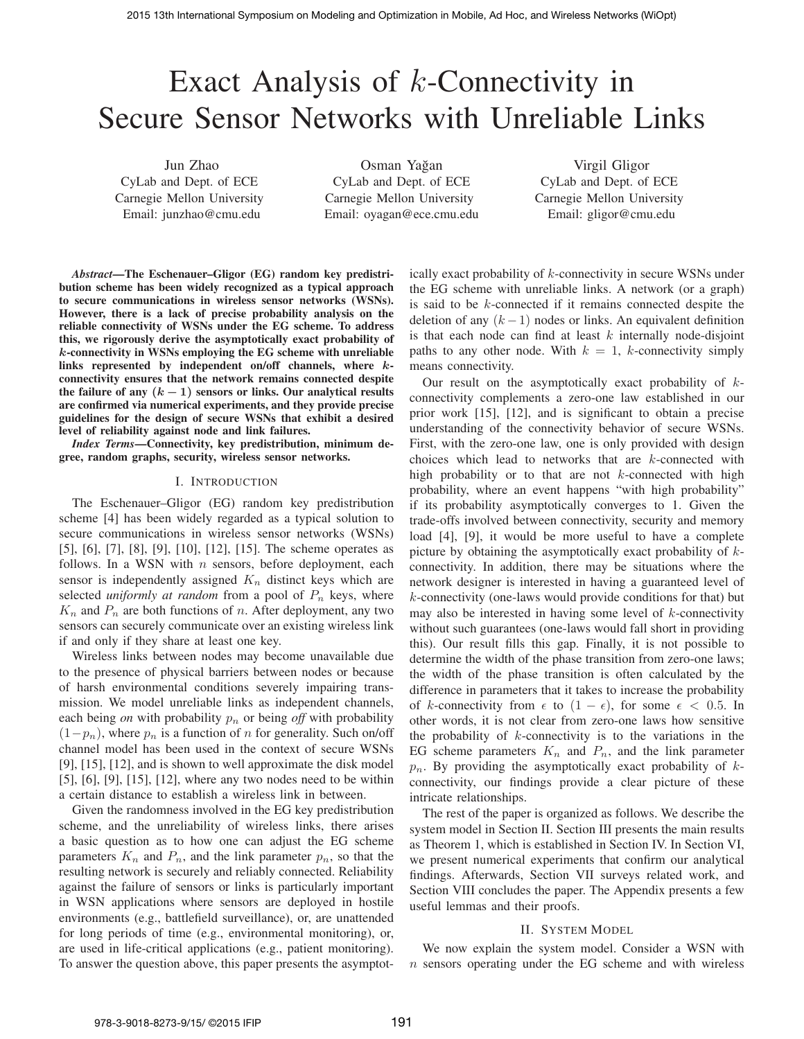# Exact Analysis of  $k$ -Connectivity in Secure Sensor Networks with Unreliable Links

Jun Zhao CyLab and Dept. of ECE Carnegie Mellon University Email: junzhao@cmu.edu

Osman Yagan ˘ CyLab and Dept. of ECE Carnegie Mellon University Email: oyagan@ece.cmu.edu

Virgil Gligor CyLab and Dept. of ECE Carnegie Mellon University Email: gligor@cmu.edu

*Abstract*—The Eschenauer–Gligor (EG) random key predistribution scheme has been widely recognized as a typical approach to secure communications in wireless sensor networks (WSNs). However, there is a lack of precise probability analysis on the reliable connectivity of WSNs under the EG scheme. To address this, we rigorously derive the asymptotically exact probability of k-connectivity in WSNs employing the EG scheme with unreliable links represented by independent on/off channels, where kconnectivity ensures that the network remains connected despite the failure of any  $(k - 1)$  sensors or links. Our analytical results are confirmed via numerical experiments, and they provide precise guidelines for the design of secure WSNs that exhibit a desired level of reliability against node and link failures.

*Index Terms*—Connectivity, key predistribution, minimum degree, random graphs, security, wireless sensor networks.

# I. INTRODUCTION

The Eschenauer–Gligor (EG) random key predistribution scheme [4] has been widely regarded as a typical solution to secure communications in wireless sensor networks (WSNs) [5], [6], [7], [8], [9], [10], [12], [15]. The scheme operates as follows. In a WSN with  $n$  sensors, before deployment, each sensor is independently assigned  $K_n$  distinct keys which are selected *uniformly at random* from a pool of  $P_n$  keys, where  $K_n$  and  $P_n$  are both functions of n. After deployment, any two sensors can securely communicate over an existing wireless link if and only if they share at least one key.

Wireless links between nodes may become unavailable due to the presence of physical barriers between nodes or because of harsh environmental conditions severely impairing transmission. We model unreliable links as independent channels, each being *on* with probability  $p_n$  or being *off* with probability  $(1-p_n)$ , where  $p_n$  is a function of n for generality. Such on/off channel model has been used in the context of secure WSNs [9], [15], [12], and is shown to well approximate the disk model [5], [6], [9], [15], [12], where any two nodes need to be within a certain distance to establish a wireless link in between.

Given the randomness involved in the EG key predistribution scheme, and the unreliability of wireless links, there arises a basic question as to how one can adjust the EG scheme parameters  $K_n$  and  $P_n$ , and the link parameter  $p_n$ , so that the resulting network is securely and reliably connected. Reliability against the failure of sensors or links is particularly important in WSN applications where sensors are deployed in hostile environments (e.g., battlefield surveillance), or, are unattended for long periods of time (e.g., environmental monitoring), or, are used in life-critical applications (e.g., patient monitoring). To answer the question above, this paper presents the asymptotically exact probability of k-connectivity in secure WSNs under the EG scheme with unreliable links. A network (or a graph) is said to be k-connected if it remains connected despite the deletion of any  $(k - 1)$  nodes or links. An equivalent definition is that each node can find at least  $k$  internally node-disjoint paths to any other node. With  $k = 1$ , k-connectivity simply means connectivity.

Our result on the asymptotically exact probability of  $k$ connectivity complements a zero-one law established in our prior work [15], [12], and is significant to obtain a precise understanding of the connectivity behavior of secure WSNs. First, with the zero-one law, one is only provided with design choices which lead to networks that are k-connected with high probability or to that are not  $k$ -connected with high probability, where an event happens "with high probability" if its probability asymptotically converges to 1. Given the trade-offs involved between connectivity, security and memory load [4], [9], it would be more useful to have a complete picture by obtaining the asymptotically exact probability of kconnectivity. In addition, there may be situations where the network designer is interested in having a guaranteed level of k-connectivity (one-laws would provide conditions for that) but may also be interested in having some level of  $k$ -connectivity without such guarantees (one-laws would fall short in providing this). Our result fills this gap. Finally, it is not possible to determine the width of the phase transition from zero-one laws; the width of the phase transition is often calculated by the difference in parameters that it takes to increase the probability of k-connectivity from  $\epsilon$  to  $(1 - \epsilon)$ , for some  $\epsilon < 0.5$ . In other words, it is not clear from zero-one laws how sensitive the probability of  $k$ -connectivity is to the variations in the EG scheme parameters  $K_n$  and  $P_n$ , and the link parameter  $p_n$ . By providing the asymptotically exact probability of  $k$ connectivity, our findings provide a clear picture of these intricate relationships.

The rest of the paper is organized as follows. We describe the system model in Section II. Section III presents the main results as Theorem 1, which is established in Section IV. In Section VI, we present numerical experiments that confirm our analytical findings. Afterwards, Section VII surveys related work, and Section VIII concludes the paper. The Appendix presents a few useful lemmas and their proofs.

## II. SYSTEM MODEL

We now explain the system model. Consider a WSN with n sensors operating under the EG scheme and with wireless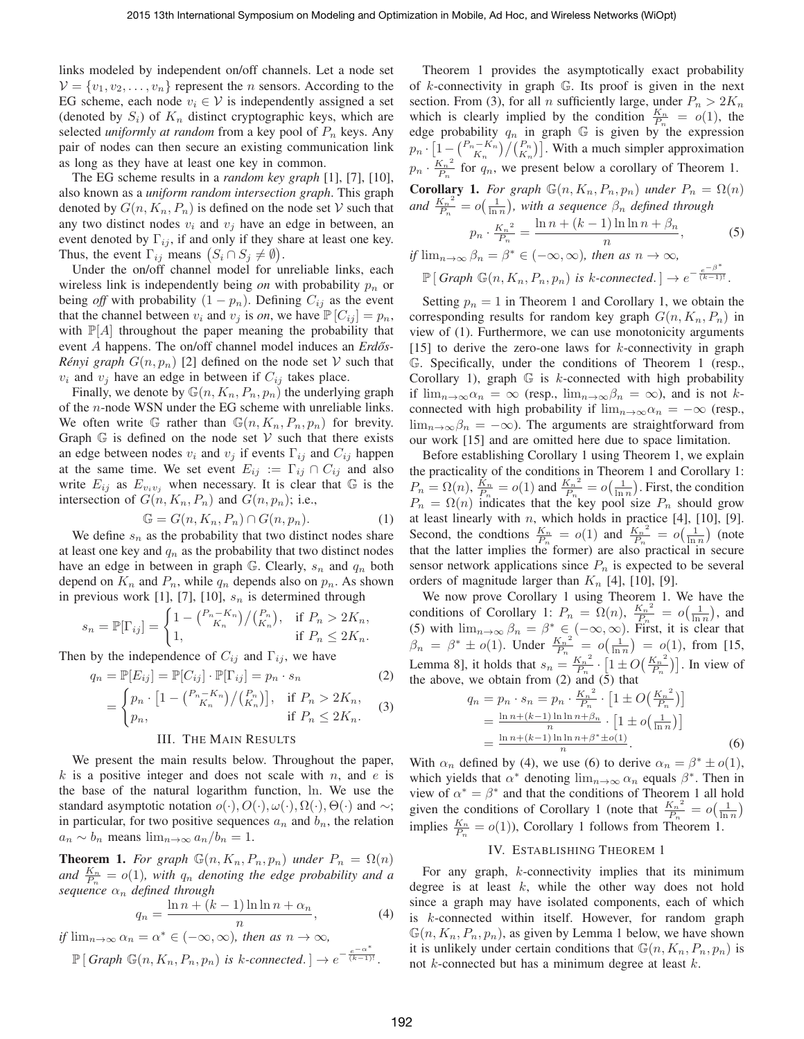links modeled by independent on/off channels. Let a node set  $V = \{v_1, v_2, \dots, v_n\}$  represent the *n* sensors. According to the EG scheme, each node  $v_i \in V$  is independently assigned a set (denoted by  $S_i$ ) of  $K_n$  distinct cryptographic keys, which are selected *uniformly at random* from a key pool of  $P_n$  keys. Any pair of nodes can then secure an existing communication link as long as they have at least one key in common.

The EG scheme results in a *random key graph* [1], [7], [10], also known as a *uniform random intersection graph*. This graph denoted by  $G(n, K_n, P_n)$  is defined on the node set V such that any two distinct nodes  $v_i$  and  $v_j$  have an edge in between, an event denoted by  $\Gamma_{ij}$ , if and only if they share at least one key. Thus, the event  $\Gamma_{ij}$  means  $(S_i \cap S_j \neq \emptyset)$ .

Under the on/off channel model for unreliable links, each wireless link is independently being  $\omega$  with probability  $p_n$  or being *off* with probability  $(1 - p_n)$ . Defining  $C_{ij}$  as the event that the channel between  $v_i$  and  $v_j$  is *on*, we have  $\mathbb{P}[C_{ij}] = p_n$ , with  $\mathbb{P}[A]$  throughout the paper meaning the probability that event A happens. The on/off channel model induces an *Erdős*-*Rényi graph*  $G(n, p_n)$  [2] defined on the node set V such that  $v_i$  and  $v_j$  have an edge in between if  $C_{ij}$  takes place.

Finally, we denote by  $\mathbb{G}(n, K_n, P_n, p_n)$  the underlying graph of the n-node WSN under the EG scheme with unreliable links. We often write G rather than  $\mathbb{G}(n, K_n, P_n, p_n)$  for brevity. Graph  $G$  is defined on the node set  $V$  such that there exists an edge between nodes  $v_i$  and  $v_j$  if events  $\Gamma_{ij}$  and  $C_{ij}$  happen at the same time. We set event  $E_{ij} := \Gamma_{ij} \cap C_{ij}$  and also write  $E_{ij}$  as  $E_{v_i v_j}$  when necessary. It is clear that  $\mathbb G$  is the intersection of  $G(n, K_n, P_n)$  and  $G(n, p_n)$ ; i.e.,

$$
\mathbb{G} = G(n, K_n, P_n) \cap G(n, p_n). \tag{1}
$$

We define  $s_n$  as the probability that two distinct nodes share at least one key and  $q_n$  as the probability that two distinct nodes have an edge in between in graph G. Clearly,  $s_n$  and  $q_n$  both depend on  $K_n$  and  $P_n$ , while  $q_n$  depends also on  $p_n$ . As shown in previous work [1], [7], [10],  $s_n$  is determined through

$$
s_n = \mathbb{P}[\Gamma_{ij}] = \begin{cases} 1 - {P_n - K_n \choose K_n} / {P_n \choose K_n}, & \text{if } P_n > 2K_n, \\ 1, & \text{if } P_n \le 2K_n. \end{cases}
$$

Then by the independence of  $C_{ij}$  and  $\Gamma_{ij}$ , we have

$$
q_n = \mathbb{P}[E_{ij}] = \mathbb{P}[C_{ij}] \cdot \mathbb{P}[\Gamma_{ij}] = p_n \cdot s_n
$$
\n
$$
= \begin{cases} p_n \cdot \left[1 - \binom{P_n - K_n}{K_n}\right] \binom{P_n}{K_n}, & \text{if } P_n > 2K_n, \\ p_n, & \text{if } P_n \le 2K_n. \end{cases} \tag{3}
$$

# III. THE MAIN RESULTS

We present the main results below. Throughout the paper,  $k$  is a positive integer and does not scale with n, and e is the base of the natural logarithm function, ln. We use the standard asymptotic notation  $o(\cdot), O(\cdot), \omega(\cdot), \Omega(\cdot), \Theta(\cdot)$  and  $\sim$ ; in particular, for two positive sequences  $a_n$  and  $b_n$ , the relation  $a_n \sim b_n$  means  $\lim_{n \to \infty} a_n/b_n = 1$ .

**Theorem 1.** For graph  $\mathbb{G}(n, K_n, P_n, p_n)$  under  $P_n = \Omega(n)$ and  $\frac{K_n}{P_n} = o(1)$ , with  $q_n$  denoting the edge probability and a *sequence*  $\alpha_n$  *defined through* 

$$
q_n = \frac{\ln n + (k-1)\ln \ln n + \alpha_n}{n},\tag{4}
$$

if 
$$
\lim_{n\to\infty} \alpha_n = \alpha^* \in (-\infty, \infty)
$$
, then as  $n \to \infty$ ,  
\n $\mathbb{P}[\text{Graph } \mathbb{G}(n, K_n, P_n, p_n) \text{ is k-connected.}] \to e^{-\frac{e^{-\alpha^*}}{(k-1)!}}$ .

Theorem 1 provides the asymptotically exact probability of  $k$ -connectivity in graph  $\mathbb{G}$ . Its proof is given in the next section. From (3), for all *n* sufficiently large, under  $P_n > 2K_n$ which is clearly implied by the condition  $\frac{K_n}{P_n} = o(1)$ , the edge probability  $q_n$  in graph G is given by the expression  $p_n \cdot \left[1 - \binom{P_n - K_n}{K_n} / \binom{P_n}{K_n}\right]$ . With a much simpler approximation  $p_n \cdot \frac{K_n^2}{P_n}$  for  $q_n$ , we present below a corollary of Theorem 1.

**Corollary 1.** For graph 
$$
\mathbb{G}(n, K_n, P_n, p_n)
$$
 under  $P_n = \Omega(n)$   
and  $\frac{K_n^2}{P_n} = o(\frac{1}{\ln n})$ , with a sequence  $\beta_n$  defined through  

$$
p_n \cdot \frac{K_n^2}{P_n} = \frac{\ln n + (k-1)\ln \ln n + \beta_n}{n},
$$
(5)  
if  $\lim_{n \to \infty} \beta_n = \beta^* \in (-\infty, \infty)$ , then as  $n \to \infty$ ,

$$
\mathbb{P}\left[\text{Graph }\mathbb{G}(n, K_n, P_n, p_n) \text{ is } k\text{-connected.}\right] \to e^{-\frac{e^{-\beta^*}}{(k-1)!}}.
$$

Setting  $p_n = 1$  in Theorem 1 and Corollary 1, we obtain the corresponding results for random key graph  $G(n, K_n, P_n)$  in view of (1). Furthermore, we can use monotonicity arguments [15] to derive the zero-one laws for  $k$ -connectivity in graph G. Specifically, under the conditions of Theorem 1 (resp., Corollary 1), graph  $G$  is k-connected with high probability if  $\lim_{n\to\infty} \alpha_n = \infty$  (resp.,  $\lim_{n\to\infty} \beta_n = \infty$ ), and is not kconnected with high probability if  $\lim_{n\to\infty} \alpha_n = -\infty$  (resp.,  $\lim_{n\to\infty}\beta_n = -\infty$ ). The arguments are straightforward from our work [15] and are omitted here due to space limitation.

Before establishing Corollary 1 using Theorem 1, we explain the practicality of the conditions in Theorem 1 and Corollary 1:  $P_n = \Omega(n), \frac{\dot{K}_n}{P_n} = o(1)$  and  $\frac{{K_n}^2}{P_n}$  $\frac{K_n^2}{P_n} = o\left(\frac{1}{\ln n}\right)$ . First, the condition  $P_n = \Omega(n)$  indicates that the key pool size  $P_n$  should grow at least linearly with  $n$ , which holds in practice [4], [10], [9]. Second, the condtions  $\frac{K_n}{P_n} = o(1)$  and  $\frac{K_n^2}{P_n}$  $\frac{K_n^2}{P_n} = o\left(\frac{1}{\ln n}\right)$  (note that the latter implies the former) are also practical in secure sensor network applications since  $P_n$  is expected to be several orders of magnitude larger than  $K_n$  [4], [10], [9].

We now prove Corollary 1 using Theorem 1. We have the conditions of Corollary 1:  $P_n = \Omega(n), \frac{K_n^2}{P_n}$  $\frac{K_n^2}{P_n} = o\left(\frac{1}{\ln n}\right)$ , and (5) with  $\lim_{n\to\infty} \beta_n = \beta^* \in (-\infty, \infty)$ . First, it is clear that  $\beta_n = \beta^* \pm o(1)$ . Under  $\frac{K_n^2}{P_n}$  $\frac{K_n^2}{P_n} = o\left(\frac{1}{\ln n}\right) = o(1)$ , from [15, Lemma 8], it holds that  $s_n = \frac{K_n^2}{P_n}$  $\frac{K_n^2}{P_n} \cdot \left[1 \pm O\left(\frac{K_n^2}{P_n}\right)\right]$  $\left[\frac{K_n^2}{P_n}\right]$ . In view of the above, we obtain from (2) and (5) that

$$
q_n = p_n \cdot s_n = p_n \cdot \frac{K_n^2}{P_n} \cdot \left[1 \pm O\left(\frac{K_n^2}{P_n}\right)\right]
$$
  
= 
$$
\frac{\ln n + (k-1)\ln \ln n + \beta_n}{n} \cdot \left[1 \pm o\left(\frac{1}{\ln n}\right)\right]
$$
  
= 
$$
\frac{\ln n + (k-1)\ln \ln n + \beta^* \pm o(1)}{n}.
$$
 (6)

With  $\alpha_n$  defined by (4), we use (6) to derive  $\alpha_n = \beta^* \pm o(1)$ , which yields that  $\alpha^*$  denoting  $\lim_{n\to\infty} \alpha_n$  equals  $\beta^*$ . Then in view of  $\alpha^* = \beta^*$  and that the conditions of Theorem 1 all hold given the conditions of Corollary 1 (note that  $\frac{K_n^2}{P}$  $\frac{K_n^2}{P_n} = o\left(\frac{1}{\ln n}\right)$ implies  $\frac{K_n}{P_n} = o(1)$ ), Corollary 1 follows from Theorem 1.

## IV. ESTABLISHING THEOREM 1

For any graph, k-connectivity implies that its minimum degree is at least  $k$ , while the other way does not hold since a graph may have isolated components, each of which is k-connected within itself. However, for random graph  $\mathbb{G}(n, K_n, P_n, p_n)$ , as given by Lemma 1 below, we have shown it is unlikely under certain conditions that  $\mathbb{G}(n, K_n, P_n, p_n)$  is not  $k$ -connected but has a minimum degree at least  $k$ .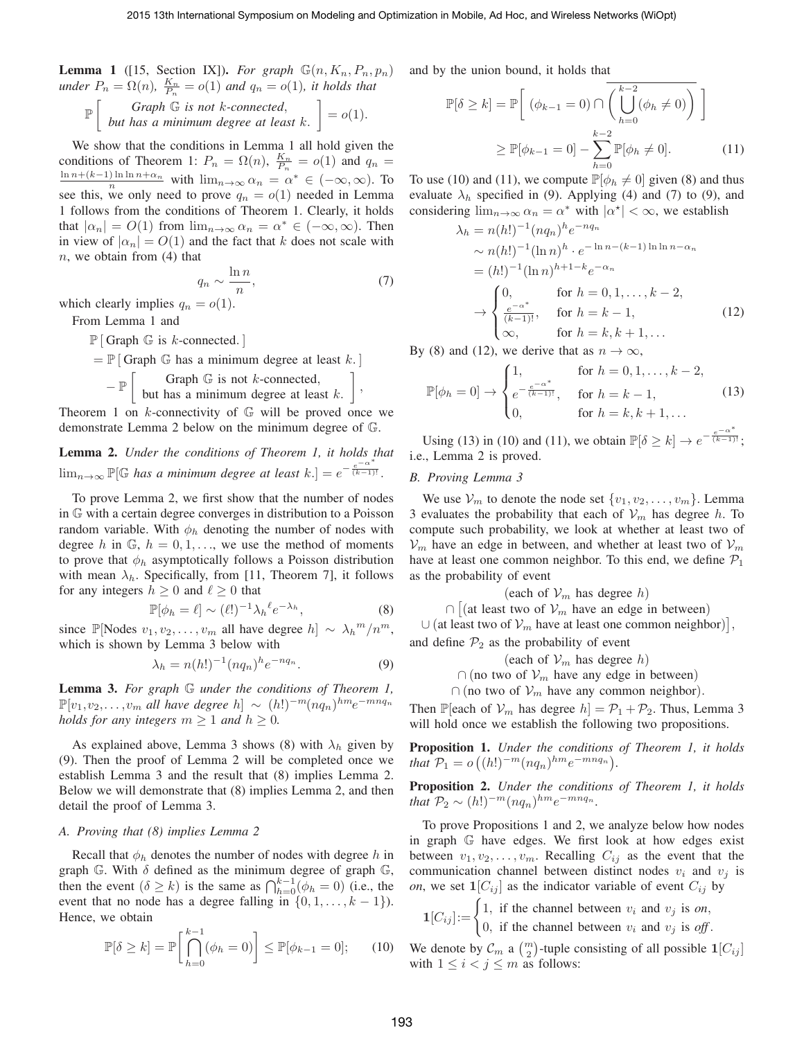**Lemma 1** ([15, Section IX]). For graph  $\mathbb{G}(n, K_n, P_n, p_n)$ *under*  $P_n = \Omega(n)$ ,  $\frac{K_n}{P_n} = o(1)$  *and*  $q_n = o(1)$ *, it holds that* 

$$
\mathbb{P}\left[\begin{array}{c} Graph \mathbb{G} \text{ is not } k\text{-connected,} \\ but has a minimum degree at least k. \end{array}\right] = o(1).
$$

We show that the conditions in Lemma 1 all hold given the conditions of Theorem 1:  $P_n = \Omega(n)$ ,  $\frac{K_n}{P_n} = o(1)$  and  $q_n =$  $\lim_{n \to \infty} \frac{\ln n + (\kappa - 1) \ln \ln n + \alpha_n}{n}$  with  $\lim_{n \to \infty} \alpha_n = \alpha^* \in (-\infty, \infty)$ . To see this, we only need to prove  $q_n = o(1)$  needed in Lemma 1 follows from the conditions of Theorem 1. Clearly, it holds that  $|\alpha_n| = O(1)$  from  $\lim_{n \to \infty} \alpha_n = \alpha^* \in (-\infty, \infty)$ . Then in view of  $|\alpha_n| = O(1)$  and the fact that k does not scale with  $n$ , we obtain from  $(4)$  that

$$
q_n \sim \frac{\ln n}{n},\tag{7}
$$

which clearly implies  $q_n = o(1)$ .

From Lemma 1 and

 $\mathbb{P}$  [ Graph  $\mathbb{G}$  is k-connected. ]

$$
= \mathbb{P} \left[ \text{Graph } \mathbb{G} \text{ has a minimum degree at least } k. \right]
$$

$$
- \mathbb{P} \left[ \text{Graph } \mathbb{G} \text{ is not } k \text{-connected,} \right]
$$

$$
- \mathbb{P} \left[ \text{but has a minimum degree at least } k. \right],
$$

Theorem 1 on  $k$ -connectivity of  $\mathbb G$  will be proved once we demonstrate Lemma 2 below on the minimum degree of G.

Lemma 2. *Under the conditions of Theorem 1, it holds that*  $\lim_{n\to\infty} \mathbb{P}[\mathbb{G}$  has a minimum degree at least  $k$ .  $] = e^{-\frac{e^{-\alpha^*}}{(k-1)!}}$ .

To prove Lemma 2, we first show that the number of nodes in G with a certain degree converges in distribution to a Poisson random variable. With  $\phi_h$  denoting the number of nodes with degree h in  $\mathbb{G}$ ,  $h = 0, 1, \ldots$ , we use the method of moments to prove that  $\phi_h$  asymptotically follows a Poisson distribution with mean  $\lambda_h$ . Specifically, from [11, Theorem 7], it follows for any integers  $h \geq 0$  and  $\ell \geq 0$  that

$$
\mathbb{P}[\phi_h = \ell] \sim (\ell!)^{-1} \lambda_h^{\ell} e^{-\lambda_h},\tag{8}
$$

since  $\mathbb{P}[\text{Nodes } v_1, v_2, \dots, v_m \text{ all have degree } h] \sim \lambda_h^m / n^m,$ which is shown by Lemma 3 below with

$$
\lambda_h = n(h!)^{-1} (nq_n)^h e^{-nq_n}.
$$
 (9)

Lemma 3. *For graph* G *under the conditions of Theorem 1,*  $\mathbb{P}[v_1, v_2, \dots, v_m]$  *all have degree*  $h$ ] ~  $(h!)^{-m} (n q_n)^{hm} e^{-mn q_n}$ *holds for any integers*  $m \geq 1$  *and*  $h \geq 0$ *.* 

As explained above, Lemma 3 shows (8) with  $\lambda_h$  given by (9). Then the proof of Lemma 2 will be completed once we establish Lemma 3 and the result that (8) implies Lemma 2. Below we will demonstrate that (8) implies Lemma 2, and then detail the proof of Lemma 3.

### *A. Proving that (8) implies Lemma 2*

Recall that  $\phi_h$  denotes the number of nodes with degree h in graph G. With  $\delta$  defined as the minimum degree of graph G, then the event  $(\delta \ge k)$  is the same as  $\bigcap_{h=0}^{k-1} (\phi_h = 0)$  (i.e., the event that no node has a degree falling in  $\{0, 1, \ldots, k - 1\}$ . Hence, we obtain

$$
\mathbb{P}[\delta \ge k] = \mathbb{P}\bigg[\bigcap_{h=0}^{k-1} (\phi_h = 0)\bigg] \le \mathbb{P}[\phi_{k-1} = 0];\qquad(10)
$$

and by the union bound, it holds that

$$
\mathbb{P}[\delta \ge k] = \mathbb{P}\left[\ (\phi_{k-1} = 0) \cap \left(\bigcup_{h=0}^{k-2} (\phi_h \neq 0)\right) \right]
$$

$$
\ge \mathbb{P}[\phi_{k-1} = 0] - \sum_{h=0}^{k-2} \mathbb{P}[\phi_h \neq 0]. \tag{11}
$$

To use (10) and (11), we compute  $\mathbb{P}[\phi_h \neq 0]$  given (8) and thus evaluate  $\lambda_h$  specified in (9). Applying (4) and (7) to (9), and considering  $\lim_{n\to\infty} \alpha_n = \alpha^*$  with  $|\alpha^*| < \infty$ , we establish

$$
\lambda_h = n(h!)^{-1} (nq_n)^h e^{-nq_n}
$$
  
\n
$$
\sim n(h!)^{-1} (\ln n)^h \cdot e^{-\ln n - (k-1)\ln \ln n - \alpha_n}
$$
  
\n
$$
= (h!)^{-1} (\ln n)^{h+1-k} e^{-\alpha_n}
$$
  
\n
$$
\to \begin{cases} 0, & \text{for } h = 0, 1, ..., k-2, \\ \frac{e^{-\alpha^*}}{(k-1)!}, & \text{for } h = k-1, \\ \infty, & \text{for } h = k, k+1, ... \end{cases}
$$
 (12)

By (8) and (12), we derive that as  $n \to \infty$ ,

$$
\mathbb{P}[\phi_h = 0] \to \begin{cases} 1, & \text{for } h = 0, 1, \dots, k-2, \\ e^{-\frac{e^{-\alpha^*}}{(k-1)!}}, & \text{for } h = k-1, \\ 0, & \text{for } h = k, k+1, \dots \end{cases} \tag{13}
$$

Using (13) in (10) and (11), we obtain  $\mathbb{P}[\delta \ge k] \to e^{-\frac{e^{-\alpha^*}}{(k-1)!}};$ i.e., Lemma 2 is proved.

# *B. Proving Lemma 3*

We use  $V_m$  to denote the node set  $\{v_1, v_2, \ldots, v_m\}$ . Lemma 3 evaluates the probability that each of  $\mathcal{V}_m$  has degree h. To compute such probability, we look at whether at least two of  $V_m$  have an edge in between, and whether at least two of  $V_m$ have at least one common neighbor. To this end, we define  $P_1$ as the probability of event

$$
(each of  $V_m$  has degree h)
$$

 $\cap$  [(at least two of  $\mathcal{V}_m$  have an edge in between)

 $\cup$  (at least two of  $\mathcal{V}_m$  have at least one common neighbor)],

and define  $\mathcal{P}_2$  as the probability of event

(each of  $\mathcal{V}_m$  has degree h)

 $\cap$  (no two of  $\mathcal{V}_m$  have any edge in between)

 $\cap$  (no two of  $\mathcal{V}_m$  have any common neighbor).

Then P[each of  $V_m$  has degree  $h$ ] =  $\mathcal{P}_1 + \mathcal{P}_2$ . Thus, Lemma 3 will hold once we establish the following two propositions.

Proposition 1. *Under the conditions of Theorem 1, it holds that*  $P_1 = o((h!)^{-m}(nq_n)^{hm}e^{-mnq_n}).$ 

Proposition 2. *Under the conditions of Theorem 1, it holds that*  $\mathcal{P}_2 \sim (h!)^{-m} (n q_n)^{hm} e^{-m n q_n}$ .

To prove Propositions 1 and 2, we analyze below how nodes in graph G have edges. We first look at how edges exist between  $v_1, v_2, \ldots, v_m$ . Recalling  $C_{ij}$  as the event that the communication channel between distinct nodes  $v_i$  and  $v_j$  is *on*, we set  $\mathbf{1}[C_{ij}]$  as the indicator variable of event  $C_{ij}$  by

$$
\mathbf{1}[C_{ij}] := \begin{cases} 1, & \text{if the channel between } v_i \text{ and } v_j \text{ is on,} \\ 0, & \text{if the channel between } v_i \text{ and } v_j \text{ is off.} \end{cases}
$$

We denote by  $\mathcal{C}_m$  a  $\binom{m}{2}$ -tuple consisting of all possible  $\mathbf{1}[C_{ij}]$ with  $1 \leq i < j \leq m$  as follows: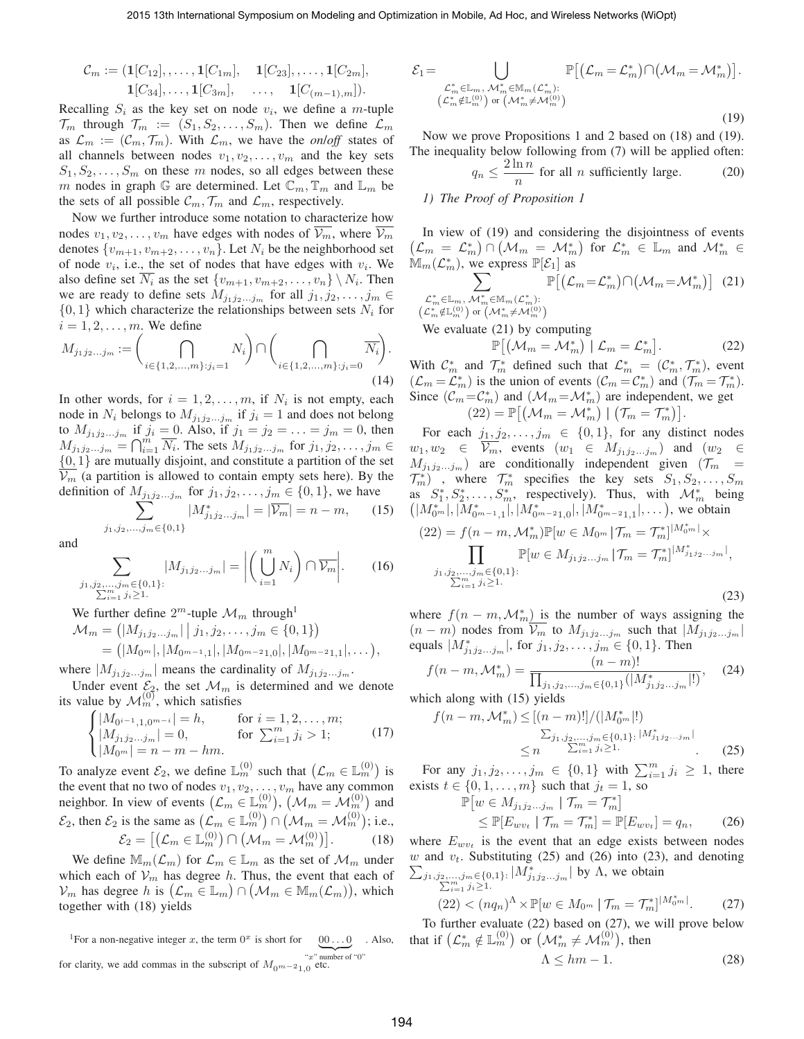$$
C_m := (\mathbf{1}[C_{12}], \dots, \mathbf{1}[C_{1m}], \quad \mathbf{1}[C_{23}], \dots, \mathbf{1}[C_{2m}],
$$
  

$$
\mathbf{1}[C_{34}], \dots, \mathbf{1}[C_{3m}], \quad \dots, \quad \mathbf{1}[C_{(m-1),m}]).
$$

Recalling  $S_i$  as the key set on node  $v_i$ , we define a m-tuple  $\mathcal{T}_m$  through  $\mathcal{T}_m := (S_1, S_2, \ldots, S_m)$ . Then we define  $\mathcal{L}_m$ as  $\mathcal{L}_m := (\mathcal{C}_m, \mathcal{T}_m)$ . With  $\mathcal{L}_m$ , we have the *onloff* states of all channels between nodes  $v_1, v_2, \ldots, v_m$  and the key sets  $S_1, S_2, \ldots, S_m$  on these m nodes, so all edges between these m nodes in graph G are determined. Let  $\mathbb{C}_m, \mathbb{T}_m$  and  $\mathbb{L}_m$  be the sets of all possible  $\mathcal{C}_m$ ,  $\mathcal{T}_m$  and  $\mathcal{L}_m$ , respectively.

Now we further introduce some notation to characterize how nodes  $v_1, v_2, \ldots, v_m$  have edges with nodes of  $\overline{\mathcal{V}_m}$ , where  $\overline{\mathcal{V}_m}$ denotes  $\{v_{m+1}, v_{m+2}, \ldots, v_n\}$ . Let  $N_i$  be the neighborhood set of node  $v_i$ , i.e., the set of nodes that have edges with  $v_i$ . We also define set  $N_i$  as the set  $\{v_{m+1}, v_{m+2}, \ldots, v_n\} \setminus N_i$ . Then we are ready to define sets  $M_{j_1j_2...j_m}$  for all  $j_1, j_2, \ldots, j_m \in$  $\{0, 1\}$  which characterize the relationships between sets  $N_i$  for  $i = 1, 2, \ldots, m$ . We define

$$
M_{j_1 j_2 \dots j_m} := \left( \bigcap_{i \in \{1, 2, \dots, m\} : j_i = 1} N_i \right) \cap \left( \bigcap_{i \in \{1, 2, \dots, m\} : j_i = 0} \overline{N_i} \right).
$$
\n(14)

In other words, for  $i = 1, 2, \dots, m$ , if  $N_i$  is not empty, each node in  $N_i$  belongs to  $M_{j_1j_2...j_m}$  if  $j_i = 1$  and does not belong to  $M_{j_1j_2...j_m}$  if  $j_i = 0$ . Also, if  $j_1 = j_2 = ... = j_m = 0$ , then  $M_{j_1j_2...j_m} = \bigcap_{i=1}^m \overline{N_i}$ . The sets  $M_{j_1j_2...j_m}$  for  $j_1, j_2, ..., j_m \in$  $\{0, 1\}$  are mutually disjoint, and constitute a partition of the set  $\overline{V_m}$  (a partition is allowed to contain empty sets here). By the definition of  $M_{j_1j_2...j_m}$  for  $j_1, j_2,..., j_m \in \{0, 1\}$ , we have

$$
\sum_{j_1, j_2, \dots, j_m \in \{0, 1\}}^{\infty} |M^*_{j_1 j_2 \dots j_m}| = |\overline{\mathcal{V}_m}| = n - m, \quad (15)
$$

and

 $j_1$ 

$$
\sum_{\substack{j_2,\ldots,j_m\in\{0,1\}:\\ \sum_{i=1}^m j_i\geq 1}} |M_{j_1j_2\ldots j_m}| = \left| \left( \bigcup_{i=1}^m N_i \right) \cap \overline{\mathcal{V}_m} \right|.
$$
 (16)

We further define  $2^m$ -tuple  $\mathcal{M}_m$  through<sup>1</sup>

$$
\mathcal{M}_m = (|M_{j_1j_2...j_m}| \mid j_1, j_2,..., j_m \in \{0, 1\})
$$
  
=  $(|M_{0^m}|, |M_{0^{m-1},1}|, |M_{0^{m-2}1,0}|, |M_{0^{m-2}1,1}|,...),$ 

where  $|M_{j_1j_2...j_m}|$  means the cardinality of  $M_{j_1j_2...j_m}$ .

Under event  $\mathcal{E}_2$ , the set  $\mathcal{M}_m$  is determined and we denote its value by  $\mathcal{M}_m^{(0)}$ , which satisfies<br> $\left( |M_{0i-1,1,0m-i}|\right) = h$ , f

$$
\begin{cases} |M_{0^{i-1},1,0^{m-i}}| = h, & \text{for } i = 1,2,\ldots,m;\\ |M_{j_1j_2\ldots j_m}| = 0, & \text{for } \sum_{i=1}^m j_i > 1;\\ |M_{0^m}| = n - m - hm. \end{cases}
$$
 (17)

To analyze event  $\mathcal{E}_2$ , we define  $\mathbb{L}_m^{(0)}$  such that  $(\mathcal{L}_m \in \mathbb{L}_m^{(0)})$  is the event that no two of nodes  $v_1, v_2, \ldots, v_m$  have any common neighbor. In view of events  $(\mathcal{L}_m \in \mathbb{L}_m^{(0)}), (\mathcal{M}_m = \mathcal{M}_m^{(0)})$  and  $\mathcal{E}_2$ , then  $\mathcal{E}_2$  is the same as  $\left(\mathcal{L}_m \in \mathbb{L}_m^{(0)}\right) \cap \left(\mathcal{M}_m = \mathcal{M}_m^{(0)}\right)$ ; i.e.,  $\mathcal{E}_2 = \left[\left(\mathcal{L}_m \in \mathbb{L}_m^{(0)}\right) \cap \left(\mathcal{M}_m = \mathcal{M}_m^{(0)}\right)\right]$ . (18)

We define  $\mathbb{M}_m(\mathcal{L}_m)$  for  $\mathcal{L}_m \in \mathbb{L}_m$  as the set of  $\mathcal{M}_m$  under which each of  $V_m$  has degree h. Thus, the event that each of  $\mathcal{V}_m$  has degree h is  $(\mathcal{L}_m \in \mathbb{L}_m) \cap (\mathcal{M}_m \in \mathbb{M}_m(\mathcal{L}_m))$ , which together with (18) yields

<sup>1</sup>For a non-negative integer x, the term  $0^x$  is short for  $0 \dots 0$  $\underbrace{00...0}$  . Also, " $x$ " number of "0" for clarity, we add commas in the subscript of  $M_{0m-21,0}$  etc.

$$
\mathcal{E}_{1} = \bigcup_{\substack{\mathcal{L}_{m}^{*} \in \mathbb{L}_{m}, \, \mathcal{M}_{m}^{*} \in \mathbb{M}_{m}(\mathcal{L}_{m}^{*}) : \\ (\mathcal{L}_{m}^{*} \notin \mathbb{L}_{m}^{(0)}) \text{ or } (\mathcal{M}_{m}^{*} \neq \mathcal{M}_{m}^{(0)})}} \mathbb{P}\big[(\mathcal{L}_{m} = \mathcal{L}_{m}^{*}) \cap (\mathcal{M}_{m} = \mathcal{M}_{m}^{*})\big].
$$
\n(19)

Now we prove Propositions 1 and 2 based on (18) and (19). The inequality below following from (7) will be applied often:

$$
q_n \le \frac{2\ln n}{n} \text{ for all } n \text{ sufficiently large.}
$$
 (20)

# *1) The Proof of Proposition 1*

In view of (19) and considering the disjointness of events  $(\mathcal{L}_m = \mathcal{L}_m^*) \cap (\mathcal{M}_m = \mathcal{M}_m^*)$  for  $\mathcal{L}_m^* \in \mathbb{L}_m$  and  $\mathcal{M}_m^* \in$  $\mathbb{M}_{m}(\mathcal{L}_{m}^{*}),$  we express  $\mathbb{P}[\mathcal{E}_{1}]$  as

$$
\sum_{\substack{\mathcal{L}_m^* \in \mathbb{L}_m, \, \mathcal{M}_m^* \in \mathbb{M}_m(\mathcal{L}_m^*) : \\ (\mathcal{L}_m^* \notin \mathbb{L}_m^{(0)}) \text{ or } (\mathcal{M}_m^* \neq \mathcal{M}_m^{(0)})}} \mathbb{P}\big[(\mathcal{L}_m = \mathcal{L}_m^*) \cap (\mathcal{M}_m = \mathcal{M}_m^*)\big] \tag{21}
$$

We evaluate (21) by computing

$$
\mathbb{P}\big[\big(\mathcal{M}_m = \mathcal{M}_m^*\big) \mid \mathcal{L}_m = \mathcal{L}_m^*\big].\tag{22}
$$

With  $\mathcal{C}_m^*$  and  $\mathcal{T}_m^*$  defined such that  $\mathcal{L}_m^* = (\mathcal{C}_m^*, \mathcal{T}_m^*)$ , event  $(\mathcal{L}_m = \mathcal{L}_m^*)$  is the union of events  $(\mathcal{C}_m = \mathcal{C}_m^*)$  and  $(\mathcal{T}_m = \mathcal{T}_m^*)$ . Since  $(C_m = C_m^*)$  and  $(\mathcal{M}_m = \mathcal{M}_m^*)$  are independent, we get  $(22) = \mathbb{P}[(\mathcal{M}_m = \mathcal{M}_m^*) | (\mathcal{T}_m = \mathcal{T}_m^*)].$ 

For each  $j_1, j_2, \ldots, j_m \in \{0, 1\}$ , for any distinct nodes  $w_1, w_2 \in V_m$ , events  $(w_1 \in M_{j_1 j_2 \ldots j_m})$  and  $(w_2 \in$  $M_{j_1j_2...j_m}$  are conditionally independent given  $(\mathcal{T}_m)$  $\mathcal{T}_{m}^{*}$ , where  $\mathcal{T}_{m}^{*}$  specifies the key sets  $S_{1}, S_{2}, \ldots, S_{m}$ as  $S_1^*, S_2^*, \ldots, S_m^*,$  respectively). Thus, with  $\mathcal{M}_m^*$  being  $(|M^*_{0^m}|, \bar{M}^*_{0^{m-1},1}|, |M^*_{0^{m-2}1,0}|, |M^*_{0^{m-2}1,1}|, \dots),$  we obtain

$$
(22) = f(n - m, \mathcal{M}_m^*) \mathbb{P}[w \in M_{0^m} | \mathcal{T}_m = \mathcal{T}_m^*]^{|M_0^* m|} \times \prod_{j_1, j_2, \dots, j_m \in \{0, 1\}:} \mathbb{P}[w \in M_{j_1 j_2 \dots j_m} | \mathcal{T}_m = \mathcal{T}_m^*]^{|M_{j_1 j_2 \dots j_m}^*|},
$$
  

$$
\sum_{i=1}^m j_i \ge 1.
$$
 (23)

where  $f(n - m, \mathcal{M}_m^*)$  is the number of ways assigning the  $(n - m)$  nodes from  $\overline{\mathcal{V}_m}$  to  $M_{j_1 j_2...j_m}$  such that  $|M_{j_1 j_2...j_m}|$ equals  $|M^*_{j_1j_2...j_m}|$ , for  $j_1, j_2, ..., j_m \in \{0, 1\}$ . Then

$$
f(n-m, \mathcal{M}_m^*) = \frac{(n-m)!}{\prod_{j_1, j_2, \dots, j_m \in \{0,1\}} (|M^*_{j_1 j_2 \dots j_m}|!)}, \quad (24)
$$

which along with (15) yields

$$
f(n-m, \mathcal{M}_m^*) \le [(n-m)!]/(|M_0^*|!)
$$
  
\n
$$
\sum_{j_1, j_2, \dots, j_m \in \{0, 1\} : |M_{j_1 j_2 \dots j_m}^*|} \le n \sum_{i=1}^m j_i \ge 1.
$$
 (25)

For any  $j_1, j_2, \ldots, j_m \in \{0, 1\}$  with  $\sum_{i=1}^m j_i \geq 1$ , there exists  $t \in \{0, 1, \ldots, m\}$  such that  $j_t = 1$ , so

$$
\mathbb{P}\left[w \in M_{j_1 j_2 \dots j_m} \mid \mathcal{T}_m = \mathcal{T}_m^*\right] \le \mathbb{P}\left[E_{w v_t} \mid \mathcal{T}_m = \mathcal{T}_m^*\right] = \mathbb{P}\left[E_{w v_t}\right] = q_n, \tag{26}
$$

where  $E_{wv_t}$  is the event that an edge exists between nodes  $\sum_{j_1, j_2, ..., j_m \in \{0,1\}:} |M^*_{j_1 j_2...j_m}|$  by  $\Lambda$ , we obtain  $\sum_{i=1}^{\infty} j_i \geq 1$ . w and  $v_t$ . Substituting (25) and (26) into (23), and denoting  $_{i=1}^{m} j_{i} \geq 1.$ 

$$
(22) < (nq_n)^{\Lambda} \times \mathbb{P}[w \in M_{0^m} \mid \mathcal{T}_m = \mathcal{T}_m^*]^{|\mathcal{M}_0^* m|}. \tag{27}
$$

To further evaluate (22) based on (27), we will prove below that if  $(\mathcal{L}_m^* \notin \mathbb{L}_m^{(0)})$  or  $(\mathcal{M}_m^* \neq \mathcal{M}_m^{(0)})$ , then

$$
\Lambda \leq hm - 1. \tag{28}
$$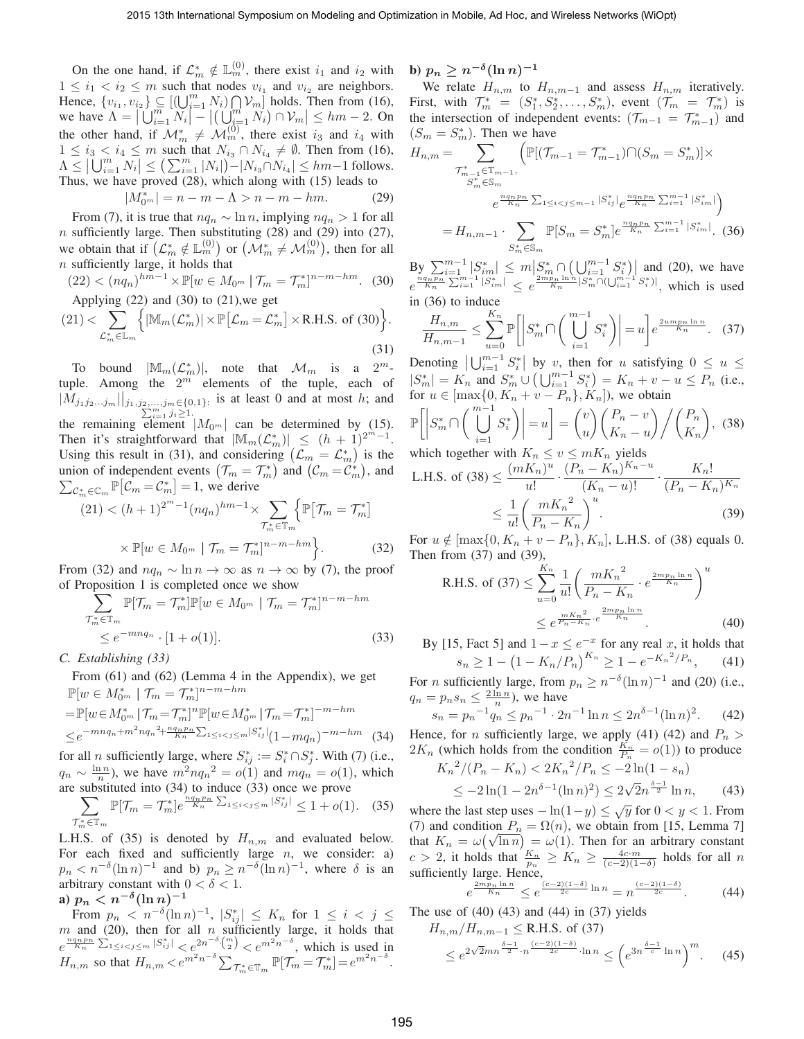On the one hand, if  $\mathcal{L}_m^* \notin \mathbb{L}_m^{(0)}$ , there exist  $i_1$  and  $i_2$  with  $1 \leq i_1 < i_2 \leq m$  such that nodes  $v_{i_1}$  and  $v_{i_2}$  are neighbors. Hence,  $\{v_{i_1}, v_{i_2}\}\subseteq \left[\left(\bigcup_{i=1}^m N_i\right)\bigcap_{m=1}^m V_m\right]$  holds. Then from (16), we have  $\Lambda = \left| \bigcup_{i=1}^m N_i \right|^{-1} \left| \left( \bigcup_{i=1}^m N_i \right) \cap \mathcal{V}_m \right| \leq hm - 2$ . On the other hand, if  $\mathcal{M}_m^* \neq \mathcal{M}_m^{(0)}$ , there exist  $i_3$  and  $i_4$  with  $1 \leq i_3 < i_4 \leq m$  such that  $N_{i_3} \cap N_{i_4} \neq \emptyset$ . Then from (16),  $\Lambda \leq |\bigcup_{i=1}^m N_i| \leq \left(\sum_{i=1}^m |N_i|\right) - |N_{i_3} \cap N_{i_4}| \leq hm-1$  follows. Thus, we have proved (28), which along with (15) leads to

$$
|M_{0^m}^*| = n - m - \Lambda > n - m - hm.
$$
 (29)

From (7), it is true that  $nq_n \sim \ln n$ , implying  $nq_n > 1$  for all  $n$  sufficiently large. Then substituting (28) and (29) into (27), we obtain that if  $(\mathcal{L}_m^* \notin \mathbb{L}_m^{(0)})$  or  $(\mathcal{M}_m^* \neq \mathcal{M}_m^{(0)})$ , then for all  $n$  sufficiently large, it holds that

$$
(22) < (nq_n)^{hm-1} \times \mathbb{P}[w \in M_{0^m} \mid \mathcal{T}_m = \mathcal{T}_m^*]^{n-m-hm}.
$$
 (30)  
Applying (22) and (30) to (21), we get

$$
(21) < \sum_{\mathcal{L}_m^* \in \mathbb{L}_m} \left\{ |M_m(\mathcal{L}_m^*)| \times \mathbb{P}[\mathcal{L}_m = \mathcal{L}_m^*] \times R.H.S. \text{ of (30)} \right\}.
$$
\n(31)

To bound  $|\mathbb{M}_m(\mathcal{L}_m^*)|$ , note that  $\mathcal{M}_m$  is a  $2^m$ tuple. Among the  $2^m$  elements of the tuple, each of  $|\overline{M}_{j_1j_2...j_m}|\Big|_{j_1,j_2,...,j_m\in\{0,1\}:\atop\sum_{i=1}^m j_i\geq 1}$  is at least 0 and at most h; and  $i=1 \; j_i \geq 1.$ the remaining element  $|M_{0^m}|$  can be determined by (15). Then it's straightforward that  $|\mathbb{M}_m(\mathcal{L}_m^*)| \leq (h+1)^{2^m-1}$ . Using this result in (31), and considering  $(\mathcal{L}_m = \mathcal{L}_m^*)$  is the union of independent events  $(\mathcal{T}_m = \mathcal{T}_m^*)$  and  $(\mathcal{C}_m = \mathcal{C}_m^*)$ , and  $\sum_{\mathcal{C}_m^* \in \mathbb{C}_m} \mathbb{P}[\mathcal{C}_m = \mathcal{C}_m^*] = 1$ , we derive

$$
(21) < (h+1)^{2^m-1} (nq_n)^{hm-1} \times \sum_{\mathcal{T}_m^* \in \mathbb{T}_m} \left\{ \mathbb{P}[\mathcal{T}_m = \mathcal{T}_m^*] \times \mathbb{P}[w \in M_{0^m} \mid \mathcal{T}_m = \mathcal{T}_m^*]^{n-m-hm} \right\}.
$$
 (32)

From (32) and  $nq_n \sim \ln n \to \infty$  as  $n \to \infty$  by (7), the proof of Proposition 1 is completed once we show

$$
\sum_{\substack{\mathcal{T}_m^* \in \mathbb{T}_m \\ \leq e^{-m n q_n} \cdot [1 + o(1)]}} \mathbb{P}[w \in M_{0^m} \mid \mathcal{T}_m = \mathcal{T}_m^*]^{n-m-hm}
$$
\n
$$
\leq e^{-m n q_n} \cdot [1 + o(1)]. \tag{33}
$$

*C. Establishing (33)*

From (61) and (62) (Lemma 4 in the Appendix), we get  $\mathbb{P}[w \in M_{0^m}^* \mid \mathcal{T}_m = \mathcal{T}_m^*]^{n-m-hm}$ 

$$
= \mathbb{P}[w \in M_{0^m}^* | \mathcal{T}_m = \mathcal{T}_m^*]^n \mathbb{P}[w \in M_{0^m}^* | \mathcal{T}_m = \mathcal{T}_m^*]^{-m - hm}
$$
  
 
$$
\leq e^{-m n q_n + m^2 n q_n^2 + \frac{n q_n p_n}{K_n} \sum_{1 \leq i < j \leq m} |S_{ij}^*|} (1 - m q_n)^{-m - hm} \tag{34}
$$

for all *n* sufficiently large, where  $S_{ij}^* := S_i^* \cap S_j^*$ . With (7) (i.e.,  $q_n \sim \frac{\ln n}{n}$ , we have  $m^2 n q_n^2 = o(1)$  and  $mq_n = o(1)$ , which are substituted into (34) to induce (33) once we prove ∗

$$
\sum_{\mathcal{T}_{m}^{*} \in \mathbb{T}_{m}} \mathbb{P}[\mathcal{T}_{m} = \mathcal{T}_{m}^{*}] e^{\frac{n q_{n} p_{n}}{K_{n}} \sum_{1 \leq i < j \leq m} |S_{ij}^{*}|} \leq 1 + o(1). \quad (35)
$$

L.H.S. of (35) is denoted by  $H_{n,m}$  and evaluated below. For each fixed and sufficiently large  $n$ , we consider: a)  $p_n < n^{-\delta} (\ln n)^{-1}$  and b)  $p_n \ge n^{-\delta} (\ln n)^{-1}$ , where  $\delta$  is an arbitrary constant with  $0 < \delta < 1$ .

# a)  $p_n < n^{-\delta} (\ln n)^{-1}$

From  $p_n < n^{-\delta} (\ln n)^{-1}$ ,  $|S^*_{ij}| \leq K_n$  for  $1 \leq i < j \leq$ m and (20), then for all n sufficiently large, it holds that  $e^{\frac{nq_n p_n}{K_n} \sum_{1 \leq i < j \leq m} |S^*_{ij}|} < e^{2n^{-\delta} {m \choose 2}} < e^{m^2 n^{-\delta}}$ , which is used in  $H_{n,m}$  so that  $H_{n,m} < e^{m^2 n^{-\delta}} \sum_{\mathcal{T}_m^* \in \mathbb{T}_m} \mathbb{P}[\mathcal{T}_m = \mathcal{T}_m^*] = e^{m^2 n^{-\delta}}.$ 

b)  $p_n \geq n^{-\delta} (\ln n)^{-1}$ 

We relate  $H_{n,m}$  to  $H_{n,m-1}$  and assess  $H_{n,m}$  iteratively. First, with  $\mathcal{T}_m^* = (S_1^*, S_2^*, \ldots, S_m^*)$ , event  $(\mathcal{T}_m = \mathcal{T}_m^*)$  is the intersection of independent events:  $(\mathcal{T}_{m-1} = \mathcal{T}_{m-1}^*)$  and  $(S_m = S_m^*)$ . Then we have

$$
H_{n,m} = \sum_{\substack{\mathcal{T}_{m-1}^* \in \mathbb{T}_{m-1}, \\S_m^* \in \mathbb{S}_m}} \left( \mathbb{P}[(\mathcal{T}_{m-1} = \mathcal{T}_{m-1}^*) \cap (S_m = S_m^*)] \times \ne^{\frac{nq_n p_n}{K_n} \sum_{1 \le i < j \le m-1} |S_{ij}^*|} e^{\frac{nq_n p_n}{K_n} \sum_{i=1}^{m-1} |S_{im}^*|} \right) = H_{n,m-1} \cdot \sum_{S_m^* \in \mathbb{S}_m} \mathbb{P}[S_m = S_m^*] e^{\frac{nq_n p_n}{K_n} \sum_{i=1}^{m-1} |S_{im}^*|}.
$$
 (36)

 $\mathbf{B} \mathbf{y} \sum_{n=1}^{m-1} |S_{nm}^*| \leq m \left| S_m^* \cap \left( \bigcup_{i=1}^{m-1} S_i^* \right) \right|$  and (20), we have  $e^{\frac{nq_np_n}{K_n}\sum_{i=1}^{m-1}|S^*_{im}|} \leq e^{\frac{2mp_n\ln n}{K_n}|S^*_m \cap (\bigcup_{i=1}^{m-1}S^*_i)|},$  which is used in (36) to induce

$$
\frac{H_{n,m}}{H_{n,m-1}} \le \sum_{u=0}^{K_n} \mathbb{P}\left[ \left| S_m^* \cap \left( \bigcup_{i=1}^{m-1} S_i^* \right) \right| = u \right] e^{\frac{2u m p_n \ln n}{K_n}}. \quad (37)
$$

Denoting  $|\bigcup_{i=1}^{m-1} S_i^*|$  by v, then for u satisfying  $0 \leq u \leq$  $|S_m^*| = K_n$  and  $S_m^* \cup (\bigcup_{i=1}^{m-1} S_i^*) = K_n + v - u \le P_n$  (i.e., for  $u \in [\max\{0, K_n + v - P_n\}, K_n]$ , we obtain

$$
\mathbb{P}\left[\left|S_m^*\cap\left(\bigcup_{i=1}^{m-1}S_i^*\right)\right|=u\right]=\binom{v}{u}\binom{P_n-v}{K_n-u}\bigg/\binom{P_n}{K_n},\tag{38}
$$

which together with  $K_n \le v \le mK_n$  yields

L.H.S. of (38) 
$$
\leq \frac{(mK_n)^u}{u!} \cdot \frac{(P_n - K_n)^{K_n - u}}{(K_n - u)!} \cdot \frac{K_n!}{(P_n - K_n)^{K_n}}
$$
  
 $\leq \frac{1}{u!} \left(\frac{mK_n^2}{P_n - K_n}\right)^u$ . (39)

 $K<sup>1</sup>$ 

For  $u \notin [\max\{0, K_n + v - P_n\}, K_n]$ , L.H.S. of (38) equals 0. Then from (37) and (39),

R.H.S. of (37) 
$$
\leq \sum_{u=0}^{K_n} \frac{1}{u!} \left( \frac{m {K_n}^2}{P_n - K_n} \cdot e^{\frac{2m p_n \ln n}{K_n}} \right)^u
$$
  
 $\leq e^{\frac{m K_n^2}{P_n - K_n} \cdot e^{\frac{2m p_n \ln n}{K_n}}}$ . (40)

By [15, Fact 5] and  $1-x \leq e^{-x}$  for any real x, it holds that  $s_n \geq 1 - \left(1 - K_n/P_n\right)^{K_n} \geq 1 - e^{-K_n^2/P_n},\qquad(41)$ 

For *n* sufficiently large, from  $p_n \ge n^{-\delta} (\ln n)^{-1}$  and (20) (i.e.,  $q_n = p_n s_n \leq \frac{2 \ln n}{n}$ , we have

$$
s_n = p_n^{-1} q_n \le p_n^{-1} \cdot 2n^{-1} \ln n \le 2n^{\delta - 1} (\ln n)^2.
$$
 (42)

Hence, for *n* sufficiently large, we apply (41) (42) and  $P_n$  $2K_n$  (which holds from the condition  $\frac{K_n}{P_n} = o(1)$ ) to produce

$$
K_n^2/(P_n - K_n) < 2K_n^2/P_n \le -2\ln(1 - s_n)
$$
\n
$$
\le -2\ln(1 - 2n^{\delta - 1}(\ln n)^2) \le 2\sqrt{2}n^{\frac{\delta - 1}{2}}\ln n,\tag{43}
$$

where the last step uses  $-\ln(1-y) \leq \sqrt{y}$  for  $0 < y < 1$ . From (7) and condition  $P_n = \Omega(n)$ , we obtain from [15, Lemma 7] that  $K_n = \omega(\sqrt{\ln n}) = \omega(1)$ . Then for an arbitrary constant  $c > 2$ , it holds that  $\frac{K_n}{p_n} \ge K_n \ge \frac{4c \cdot m}{(c-2)(1-\delta)}$  holds for all n sufficiently large. Hence,<br>  $\frac{2mp_n \ln n}{(c-2)(1-\delta)} \ln n$   $(c-2)(1-\delta)$ 

$$
e^{\frac{2mp_n\ln n}{K_n}} \le e^{\frac{(c-2)(1-\delta)}{2c}\ln n} = n^{\frac{(c-2)(1-\delta)}{2c}}.\tag{44}
$$

The use of  $(40)$   $(43)$  and  $(44)$  in  $(37)$  yields

$$
H_{n,m}/H_{n,m-1} \leq \text{R.H.S. of (37)}\leq e^{2\sqrt{2}mn^{\frac{\delta-1}{2}} \cdot n^{\frac{(c-2)(1-\delta)}{2c}} \cdot \ln n} \leq \left(e^{3n^{\frac{\delta-1}{c}}\ln n}\right)^m.
$$
 (45)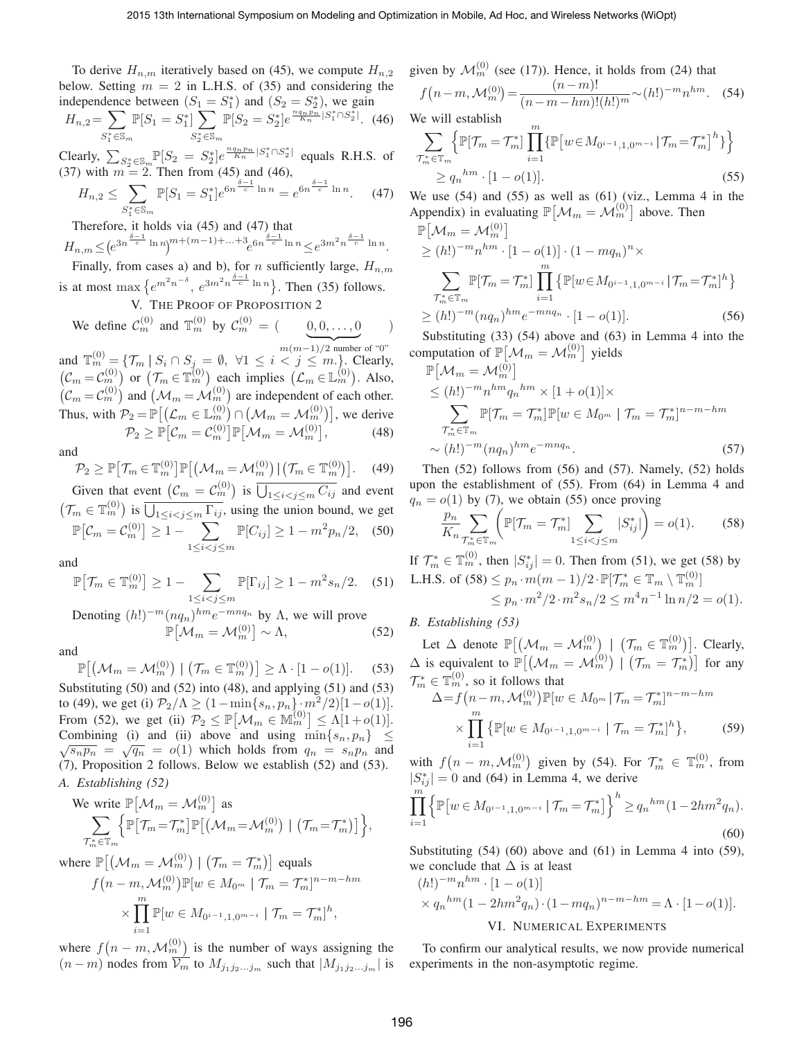)

To derive  $H_{n,m}$  iteratively based on (45), we compute  $H_{n,2}$ below. Setting  $m = 2$  in L.H.S. of (35) and considering the independence between  $(S_1 = S_1^*)$  and  $(S_2 = S_2^*)$ , we gain

$$
H_{n,2} = \sum_{S_1^* \in \mathbb{S}_m} \mathbb{P}[S_1 = S_1^*] \sum_{S_2^* \in \mathbb{S}_m} \mathbb{P}[S_2 = S_2^*] e^{\frac{nq_n p_n}{K_n} |S_1^* \cap S_2^*|}.
$$
 (46)

Clearly,  $\sum_{S_2^* \in \mathbb{S}_m} \mathbb{P}[S_2 = S_2^*] e^{\frac{nq_n p_n}{K_n} |S_1^* \cap S_2^*|}$  equals R.H.S. of (37) with  $m = 2$ . Then from (45) and (46),

$$
H_{n,2} \le \sum_{S_1^* \in \mathbb{S}_m} \mathbb{P}[S_1 = S_1^*] e^{6n^{\frac{\delta - 1}{c}} \ln n} = e^{6n^{\frac{\delta - 1}{c}} \ln n}.
$$
 (47)

Therefore, it holds via (45) and (47) that

$$
H_{n,m} \leq \left(e^{3n^{\frac{\delta-1}{c}}\ln n}\right)^{m+(m-1)+\dots+3}e^{6n^{\frac{\delta-1}{c}}\ln n} \leq e^{3m^2n^{\frac{\delta-1}{c}}\ln n}.
$$

Finally, from cases a) and b), for *n* sufficiently large,  $H_{n,m}$ is at most max  $\{e^{m^2n^{-\delta}}, e^{3m^2n^{\frac{\delta-1}{c}}\ln n}\}$ . Then (35) follows.

# V. THE PROOF OF PROPOSITION 2

We define  $\mathcal{C}_m^{(0)}$  and  $\mathbb{T}_m^{(0)}$  by  $\mathcal{C}_m^{(0)} = \begin{pmatrix} 0 & 0 & \dots & 0 \\ 0 & 0 & \dots & 0 \\ 0 & 0 & 0 & \dots & 0 \end{pmatrix}$ 

 $m(m-1)/2$  number of "0" and  $\mathbb{T}_{m}^{(0)} = \{\mathcal{T}_{m} \mid S_{i} \cap S_{j} = \emptyset, \forall 1 \leq i < j \leq m.\}$ . Clearly,  $(\mathcal{C}_m = \mathcal{C}_m^{(0)})$  or  $(\mathcal{T}_m \in \mathbb{T}_m^{(0)})$  each implies  $(\mathcal{L}_m \in \mathbb{L}_m^{(0)})$ . Also,  $(C_m = C_m^{(0)})$  and  $(\mathcal{M}_m = \mathcal{M}_m^{(0)})$  are independent of each other. Thus, with  $P_2 = \mathbb{P}\left[\left(\mathcal{L}_m \in \mathbb{L}_m^{(0)}\right) \cap \left(\mathcal{M}_m = \mathcal{M}_m^{(0)}\right)\right]$ , we derive  $\mathcal{P}_2 \geq \mathbb{P}\big[\mathcal{C}_m = \mathcal{C}_m^{(0)}\big]\mathbb{P}\big[\mathcal{M}_m = \mathcal{M}_m^{(0)}\big]$  $(48)$ 

and

$$
\mathcal{P}_2 \ge \mathbb{P}\big[\mathcal{T}_m \in \mathbb{T}_m^{(0)}\big]\mathbb{P}\big[\big(\mathcal{M}_m = \mathcal{M}_m^{(0)}\big)\big|\big(\mathcal{T}_m \in \mathbb{T}_m^{(0)}\big)\big].\tag{49}
$$

Given that event  $(C_m = C_m^{(0)})$  is  $\overline{\bigcup_{1 \le i < j \le m} C_{ij}}$  and event  $(\mathcal{T}_m \in \mathbb{T}_m^{(0)})$  is  $\overline{\bigcup_{1 \le i < j \le m} \Gamma_{ij}}$ , using the union bound, we get  $\mathbb{P}\big[\mathcal{C}_m = \mathcal{C}_m^{(0)}\big] \geq 1 - \sum$  $1 \leq i < j \leq m$  $\mathbb{P}[C_{ij}] \ge 1 - m^2 p_n/2,$  (50)

and

$$
\mathbb{P}\big[\mathcal{T}_m \in \mathbb{T}_m^{(0)}\big] \ge 1 - \sum_{1 \le i < j \le m} \mathbb{P}[\Gamma_{ij}] \ge 1 - m^2 s_n / 2. \tag{51}
$$

Denoting  $(h!)^{-m} (nq_n)^{hm} e^{-mnq_n}$  by  $\Lambda$ , we will prove  $\mathbb{P}[\mathcal{M}_m = \mathcal{M}_m^{(0)}] \sim \Lambda,$  (52)

and

$$
\mathbb{P}\big[\big(\mathcal{M}_m = \mathcal{M}_m^{(0)}\big) \mid \big(\mathcal{T}_m \in \mathbb{T}_m^{(0)}\big)\big] \ge \Lambda \cdot [1 - o(1)].\tag{53}
$$

Substituting  $(50)$  and  $(52)$  into  $(48)$ , and applying  $(51)$  and  $(53)$ to (49), we get (i)  $P_2/\Lambda \ge (1 - \min\{s_n, p_n\} \cdot m^2/2)[1 - o(1)].$ From (52), we get (ii)  $\mathcal{P}_2 \leq \mathbb{P}[\mathcal{M}_m \in \mathbb{M}_m^{(0)}] \leq \Lambda[1+o(1)].$ Combining (i) and (ii) above and using  $\min\{s_n, p_n\} \leq$  $\sqrt{s_n p_n} = \sqrt{q_n} = o(1)$  which holds from  $q_n = s_n p_n$  and (7), Proposition 2 follows. Below we establish (52) and (53). *A. Establishing (52)*

We write 
$$
\mathbb{P}[\mathcal{M}_m = \mathcal{M}_m^{(0)}]
$$
 as  
\n
$$
\sum_{\mathcal{T}_m^* \in \mathbb{T}_m} \Big\{ \mathbb{P}[\mathcal{T}_m = \mathcal{T}_m^*] \mathbb{P}[(\mathcal{M}_m = \mathcal{M}_m^{(0)}) | (\mathcal{T}_m = \mathcal{T}_m^*)] \Big\},
$$

where  $\mathbb{P} \big[ \big( \mathcal{M}_m = \mathcal{M}_m^{(0)} \big) \mid \big( \mathcal{T}_m = \mathcal{T}_m^* \big) \big]$  equals

$$
f(n - m, \mathcal{M}_m^{(0)}) \mathbb{P}[w \in M_{0^m} | \mathcal{T}_m = \mathcal{T}_m^*]^{n-m-hm}
$$
  
 
$$
\times \prod_{i=1}^m \mathbb{P}[w \in M_{0^{i-1},1,0^{m-i}} | \mathcal{T}_m = \mathcal{T}_m^*]^h,
$$

where  $f(n-m, \mathcal{M}_m^{(0)})$  is the number of ways assigning the  $(n-m)$  nodes from  $\overline{\mathcal{V}_m}$  to  $M_{j_1j_2...j_m}$  such that  $|M_{j_1j_2...j_m}|$  is given by  $\mathcal{M}_m^{(0)}$  (see (17)). Hence, it holds from (24) that  $f(n-m, \mathcal{M}_m^{(0)}) = \frac{(n-m)!}{(n-m-hm)!}$  $\frac{(n-m)!}{(n-m-hm)!(h!)^m} \sim (h!)^{-m} n^{hm}.$  (54)

We will establish

$$
\sum_{\substack{\mathcal{T}_{m}^* \in \mathbb{T}_{m} \\ \geq q_n}} \left\{ \mathbb{P}[\mathcal{T}_{m} = \mathcal{T}_{m}^*] \prod_{i=1}^m \left\{ \mathbb{P}\left[w \in M_{0^{i-1},1,0^{m-i}} \,|\, \mathcal{T}_{m} = \mathcal{T}_{m}^*\right]^h \right\} \right\}
$$
\n
$$
\geq q_n^{h m} \cdot [1 - o(1)]. \tag{55}
$$

We use  $(54)$  and  $(55)$  as well as  $(61)$  (viz., Lemma 4 in the Appendix) in evaluating  $\mathbb{P}[\mathcal{M}_m = \mathcal{M}_m^{(0)}]$  above. Then

$$
\mathbb{P}[\mathcal{M}_m = \mathcal{M}_m^{(0)}] \ge (h!)^{-m} n^{hm} \cdot [1 - o(1)] \cdot (1 - m q_n)^n \times \sum_{\substack{\mathcal{T}_m^* \in \mathbb{T}_m \\ \ge (h!)^{-m} (n q_n)^{hm} e^{-m n q_n} \cdot [1 - o(1)]}} \prod_{i=1}^m \{ \mathbb{P}[w \in M_{0^{i-1}, 1, 0^{m-i}} | \mathcal{T}_m = \mathcal{T}_m^*]^h \} \ge (h!)^{-m} (n q_n)^{hm} e^{-m n q_n} \cdot [1 - o(1)]. \tag{56}
$$

Substituting (33) (54) above and (63) in Lemma 4 into the computation of  $\mathbb{P} \left[ \mathcal{M}_m = \mathcal{M}_m^{(0)} \right]$  yields

$$
\mathbb{P}[\mathcal{M}_m = \mathcal{M}_m^{(0)}]
$$
\n
$$
\leq (h!)^{-m} n^{hm} q_n^{hm} \times [1 + o(1)] \times
$$
\n
$$
\sum_{\substack{\mathcal{T}_m^* \in \mathbb{T}_m \\ \sim (h!)^{-m} (nq_n)^{hm} e^{-m n q_n}} \sim (57)
$$

Then  $(52)$  follows from  $(56)$  and  $(57)$ . Namely,  $(52)$  holds upon the establishment of (55). From (64) in Lemma 4 and  $q_n = o(1)$  by (7), we obtain (55) once proving

$$
\frac{p_n}{K_n} \sum_{\substack{\mathcal{T}_m \in \mathbb{T}_m \\ m}} \left( \mathbb{P}[\mathcal{T}_m = \mathcal{T}_m^*] \sum_{1 \le i < j \le m} |S_{ij}^*| \right) = o(1). \tag{58}
$$

If  $\mathcal{T}_{m}^{*} \in \mathbb{T}_{m}^{(0)}$ , then  $|S_{ij}^{*}| = 0$ . Then from (51), we get (58) by L.H.S. of  $(58) \leq p_n \cdot m(m-1)/2 \cdot \mathbb{P}[\mathcal{T}_m^* \in \mathbb{T}_m \setminus \mathbb{T}_m^{(0)}]$  $\leq p_n \cdot m^2 / 2 \cdot m^2 s_n / 2 \leq m^4 n^{-1} \ln n / 2 = o(1).$ 

*B. Establishing (53)*

Let  $\Delta$  denote  $\mathbb{P} \big[ \big( \mathcal{M}_m = \mathcal{M}_m^{(0)} \big) \mid \big( \mathcal{T}_m \in \mathbb{T}_m^{(0)} \big) \big]$ . Clearly,  $\Delta$  is equivalent to  $\mathbb{P}[(\mathcal{M}_m = \mathcal{M}_m^{(0)}) | (\mathcal{T}_m = \mathcal{T}_m^*)]$  for any  $\mathcal{T}_{m}^{*} \in \mathbb{T}_{m}^{(0)}$ , so it follows that

$$
\Delta = f(n-m, \mathcal{M}_m^{(0)}) \mathbb{P}[w \in M_{0^m} | \mathcal{T}_m = \mathcal{T}_m^*]^{n-m-hm}
$$

$$
\times \prod_{i=1}^m \{ \mathbb{P}[w \in M_{0^{i-1},1,0^{m-i}} | \mathcal{T}_m = \mathcal{T}_m^*]^h \}, \tag{59}
$$

with  $f(n-m, \mathcal{M}_m^{(0)})$  given by (54). For  $\mathcal{T}_m^* \in \mathbb{T}_m^{(0)}$ , from  $|S_{ij}^*| = 0$  and (64) in Lemma 4, we derive

$$
\prod_{i=1}^{m} \left\{ \mathbb{P} \left[ w \in M_{0^{i-1},1,0^{m-i}} \mid \mathcal{T}_m = \mathcal{T}_m^* \right] \right\}^h \ge q_n^{hm} (1 - 2hm^2 q_n).
$$
\n(60)

Substituting (54) (60) above and (61) in Lemma 4 into (59), we conclude that  $\Delta$  is at least

$$
(h!)^{-m} n^{hm} \cdot [1 - o(1)]
$$
  
\$\times q\_n^{hm} (1 - 2hm^2 q\_n) \cdot (1 - mq\_n)^{n-m-hm} = \Lambda \cdot [1 - o(1)].

### VI. NUMERICAL EXPERIMENTS

To confirm our analytical results, we now provide numerical experiments in the non-asymptotic regime.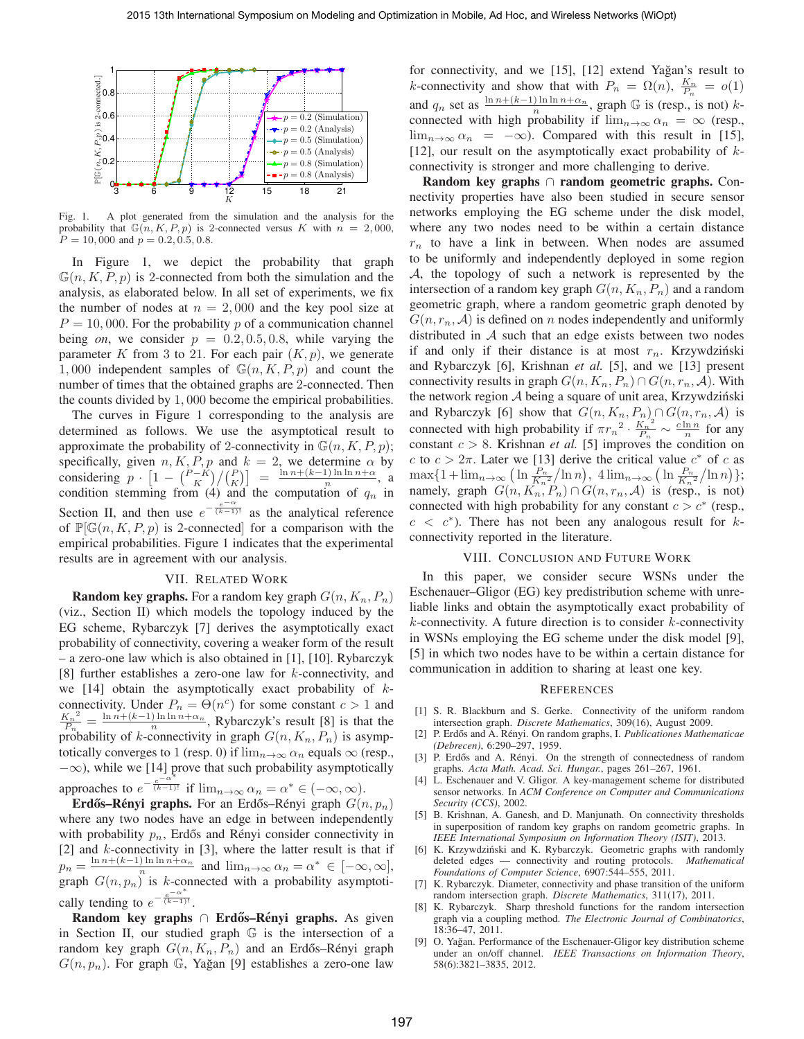

Fig. 1. A plot generated from the simulation and the analysis for the probability that  $\mathbb{G}(n, K, P, p)$  is 2-connected versus K with  $n = 2,000$ ,  $P = 10,000$  and  $p = 0.2, 0.5, 0.8$ .

In Figure 1, we depict the probability that graph  $\mathbb{G}(n, K, P, p)$  is 2-connected from both the simulation and the analysis, as elaborated below. In all set of experiments, we fix the number of nodes at  $n = 2,000$  and the key pool size at  $P = 10,000$ . For the probability p of a communication channel being *on*, we consider  $p = 0.2, 0.5, 0.8$ , while varying the parameter K from 3 to 21. For each pair  $(K, p)$ , we generate 1,000 independent samples of  $\mathbb{G}(n, K, P, p)$  and count the number of times that the obtained graphs are 2-connected. Then the counts divided by 1, 000 become the empirical probabilities.

The curves in Figure 1 corresponding to the analysis are determined as follows. We use the asymptotical result to approximate the probability of 2-connectivity in  $\mathbb{G}(n, K, P, p)$ ; specifically, given  $n, K, P, p$  and  $k = 2$ , we determine  $\alpha$  by considering  $p \cdot \left[1 - \binom{P-K}{K} / \binom{P}{K} \right] = \frac{\ln n + (k-1) \ln \ln n + \alpha}{n}$ , a condition stemming from (4) and the computation of  $q_n$  in Section II, and then use  $e^{-\frac{e^{-\alpha}}{(k-1)!}}$  as the analytical reference of  $\mathbb{P}[\mathbb{G}(n, K, P, p)]$  is 2-connected for a comparison with the empirical probabilities. Figure 1 indicates that the experimental results are in agreement with our analysis.

### VII. RELATED WORK

**Random key graphs.** For a random key graph  $G(n, K_n, P_n)$ (viz., Section II) which models the topology induced by the EG scheme, Rybarczyk [7] derives the asymptotically exact probability of connectivity, covering a weaker form of the result – a zero-one law which is also obtained in [1], [10]. Rybarczyk [8] further establishes a zero-one law for k-connectivity, and we [14] obtain the asymptotically exact probability of  $k$ connectivity. Under  $P_n = \Theta(n^c)$  for some constant  $c > 1$  and  $K_n{}^2$  $\frac{K_n^2}{P_n} = \frac{\ln n + (k-1) \ln \ln n + \alpha_n}{n}$ , Rybarczyk's result [8] is that the probability of k-connectivity in graph  $G(n, K_n, P_n)$  is asymptotically converges to 1 (resp. 0) if  $\lim_{n\to\infty} \alpha_n$  equals  $\infty$  (resp.,  $-\infty$ ), while we [14] prove that such probability asymptotically approaches to  $e^{-\frac{e^{-\alpha^*}}{(k-1)!}}$  if  $\lim_{n\to\infty} \alpha_n = \alpha^* \in (-\infty, \infty)$ .

**Erdős–Rényi graphs.** For an Erdős–Rényi graph  $G(n, p_n)$ where any two nodes have an edge in between independently with probability  $p_n$ , Erdős and Rényi consider connectivity in [2] and  $k$ -connectivity in [3], where the latter result is that if  $p_n = \frac{\ln n + (k-1)\ln \ln n + \alpha_n}{n}$  and  $\lim_{n \to \infty} \alpha_n = \alpha^* \in [-\infty, \infty],$ graph  $G(n, p_n)$  is k-connected with a probability asymptotically tending to  $e^{-\frac{e^{-\alpha^*}}{(k-1)!}}$ .

Random key graphs ∩ Erdős–Rényi graphs. As given in Section II, our studied graph G is the intersection of a random key graph  $G(n, K_n, P_n)$  and an Erdős–Rényi graph  $G(n, p_n)$ . For graph G, Yağan [9] establishes a zero-one law

for connectivity, and we [15], [12] extend Yağan's result to k-connectivity and show that with  $P_n = \Omega(n)$ ,  $\frac{K_n}{P_n} = o(1)$ and  $q_n$  set as  $\frac{\ln n + (k-1)\ln \ln n + \alpha_n}{n}$ , graph  $\mathbb G$  is (resp., is not) kconnected with high probability if  $\lim_{n\to\infty} \alpha_n = \infty$  (resp.,  $\lim_{n\to\infty} \alpha_n = -\infty$ . Compared with this result in [15], [12], our result on the asymptotically exact probability of  $k$ connectivity is stronger and more challenging to derive.

Random key graphs ∩ random geometric graphs. Connectivity properties have also been studied in secure sensor networks employing the EG scheme under the disk model, where any two nodes need to be within a certain distance  $r_n$  to have a link in between. When nodes are assumed to be uniformly and independently deployed in some region A, the topology of such a network is represented by the intersection of a random key graph  $G(n, K_n, P_n)$  and a random geometric graph, where a random geometric graph denoted by  $G(n, r_n, \mathcal{A})$  is defined on n nodes independently and uniformly distributed in A such that an edge exists between two nodes if and only if their distance is at most  $r_n$ . Krzywdziński and Rybarczyk [6], Krishnan *et al.* [5], and we [13] present connectivity results in graph  $G(n, K_n, P_n) \cap G(n, r_n, A)$ . With the network region  $A$  being a square of unit area, Krzywdziński and Rybarczyk [6] show that  $G(n, K_n, P_n) \cap G(n, r_n, A)$  is connected with high probability if  $\pi r_n^2 \cdot \frac{K_n^2}{P_n}$  $\frac{K_n^2}{P_n} \sim \frac{c \ln n}{n}$  for any constant  $c > 8$ . Krishnan *et al.* [5] improves the condition on c to  $c > 2\pi$ . Later we [13] derive the critical value  $c^*$  of c as  $\max\{1+\lim_{n\to\infty}\left(\ln\frac{P_n}{K_n^2}/\ln n\right),\ 4\lim_{n\to\infty}\left(\ln\frac{P_n}{K_n^2}/\ln n\right)\};$ namely, graph  $G(n, K_n, P_n) \cap G(n, r_n, A)$  is (resp., is not) connected with high probability for any constant  $c > c^*$  (resp.,  $c < c^*$ ). There has not been any analogous result for kconnectivity reported in the literature.

### VIII. CONCLUSION AND FUTURE WORK

In this paper, we consider secure WSNs under the Eschenauer–Gligor (EG) key predistribution scheme with unreliable links and obtain the asymptotically exact probability of  $k$ -connectivity. A future direction is to consider  $k$ -connectivity in WSNs employing the EG scheme under the disk model [9], [5] in which two nodes have to be within a certain distance for communication in addition to sharing at least one key.

#### **REFERENCES**

- [1] S. R. Blackburn and S. Gerke. Connectivity of the uniform random intersection graph. *Discrete Mathematics*, 309(16), August 2009.
- [2] P. Erdős and A. Rényi. On random graphs, I. Publicationes Mathematicae *(Debrecen)*, 6:290–297, 1959.
- [3] P. Erdős and A. Rényi. On the strength of connectedness of random graphs. *Acta Math. Acad. Sci. Hungar.*, pages 261–267, 1961.
- [4] L. Eschenauer and V. Gligor. A key-management scheme for distributed sensor networks. In *ACM Conference on Computer and Communications Security (CCS)*, 2002.
- [5] B. Krishnan, A. Ganesh, and D. Manjunath. On connectivity thresholds in superposition of random key graphs on random geometric graphs. In *IEEE International Symposium on Information Theory (ISIT)*, 2013.
- [6] K. Krzywdziński and K. Rybarczyk. Geometric graphs with randomly deleted edges — connectivity and routing protocols. *Mathematical Foundations of Computer Science*, 6907:544–555, 2011.
- [7] K. Rybarczyk. Diameter, connectivity and phase transition of the uniform random intersection graph. *Discrete Mathematics*, 311(17), 2011.
- [8] K. Rybarczyk. Sharp threshold functions for the random intersection graph via a coupling method. *The Electronic Journal of Combinatorics*, 18:36–47, 2011.
- [9] O. Yağan. Performance of the Eschenauer-Gligor key distribution scheme under an on/off channel. *IEEE Transactions on Information Theory*, 58(6):3821–3835, 2012.